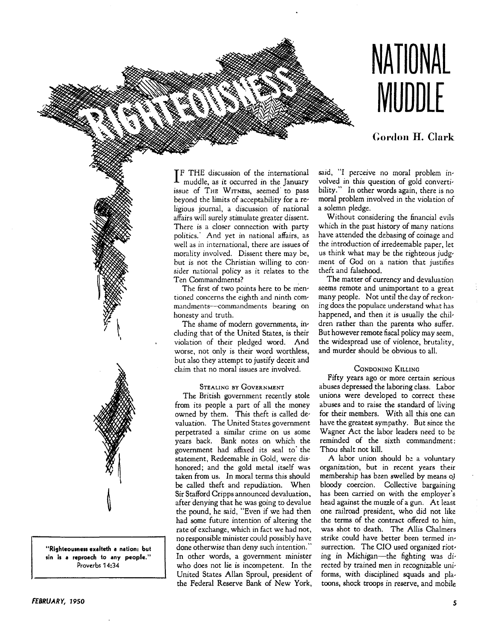

## **COI'don H. Clark**

IF THE discussion of the international<br>muddle, as it occurred in the January **TF THE discussion of the international** issue of THE WITNESS, seemed" to pass beyond the limits of acceptability for a religious journal, a discussion of national affairs will surely stimulate greater dissent. There is a closer connection with party politics.' And yet in national affairs, as well as in international, there are issues of morality involved. Dissent there may be, but is not the Christian willing to con' sider national policy as it relates to the Ten Commandments?

The first of two points here to be mentioned concerns the eighth and ninth commandments--commandments bearing on honesty and truth.

The shame of modern governments, including that of the United States, is their violation of their pledged word. And worse, not only is their word worthless, but also they attempt to justify deceit and claim that no moral issues are involved.

#### STEALING BY GOVERNMENT

The British government recently stole from its people a part of all the money owned by them. This theft is called devaluation. The United States government perpetrated a similar crime on us some years back. Bank notes on which the government had affixed its seal to' the statement, Redeemable in Gold, were dishonored; and the gold metal itself was taken from us. In moral terms this should be called theft and repudiation. When Sir Stafford Cripps announced devaluation, after denying that he was going to devalue the pound, he said, "Even if we had then had some future intention of altering the rate of exchange, which in fact we had not, no responsible minister could possibly have done otherwise than deny such intention. " In other words, a government minister who does not lie is incompetent. In the United States Allan Sproul, president of the Federal Reserve Bank of New York, said, "I perceive no moral problem involved in this question of gold convertibility." In other words again, there is no moral problem involved in the violation of a solemn pledge.

Without considering the financial evils which in the past history of many nations have attended the debasing of coinage and the introduction of irredeemable paper, let us think what may be the righteous judgment of God on a nation that justifies theft and falsehood.

The matter of currency and devaluation seems remote and unimportant to a great many people. Not until the day of reckoning does the populace understand what has happened, and then it is usually the children rather than the parents who suffer. But however remote fiscal policy may seem, the widespread use of violence, brutality, and murder should be obvious to all.

#### CONDONING KILLING

Fifty years ago or more certain serious abuses depressed the laboring class. Labor unions were developed to correct these abuses and to raise the standard of living for their members. With all this one can have the greatest sympathy. But since the Wagner Act the labor leaders need to be reminded of the sixth commandment: Thou shalt not kill.

A labor union should be a voluntary organization, but in recent years their membership has been swelled by means of bloody coercion. Collective bargaining has been carried on with the employer's head against the muzzle of a gun. At least one railroad president, who did not like the terms of the contract offered to him, was shot to death. The Allis Chalmers strike could have better been termed insurrection. The CIO used organized rioting in Michigan-the fighting was directed by trained men in recognizable uniforms, with disciplined squads and platoons, shock troops in reserve, and mobile

**"Righteousness exalteth a nation: but sin is a reproach to any people."**  Proverbs 14:34